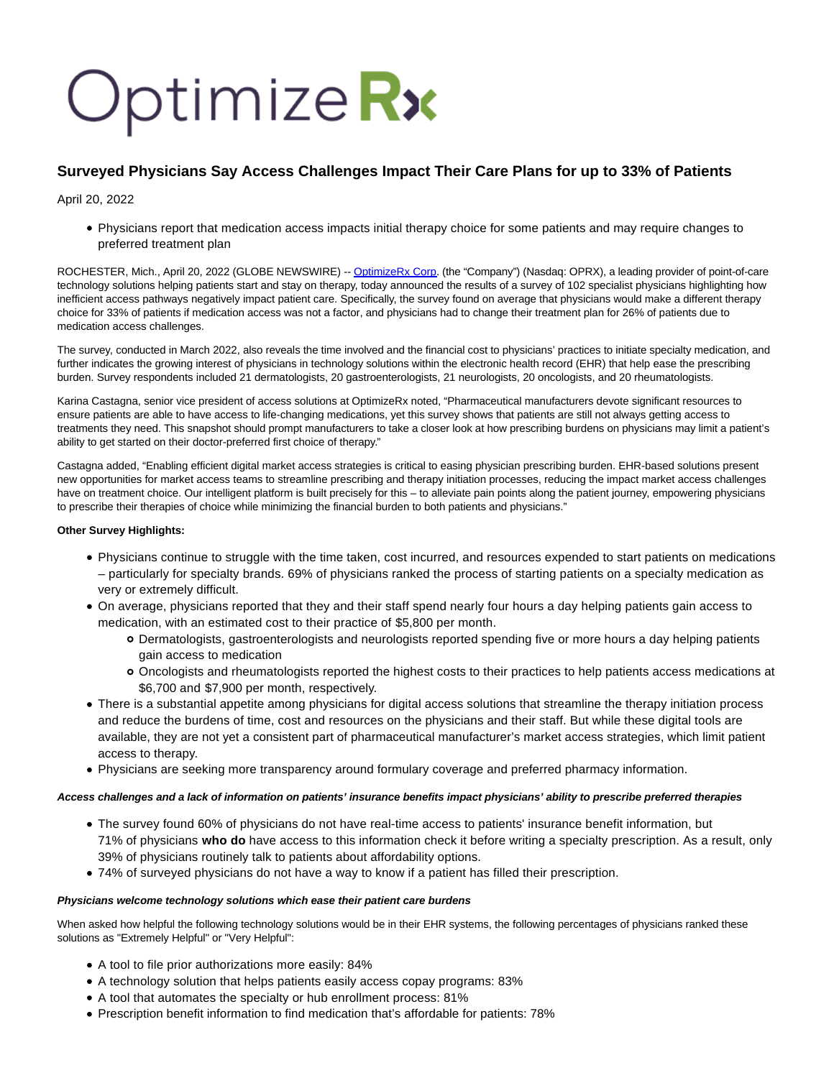# OptimizeRx

# **Surveyed Physicians Say Access Challenges Impact Their Care Plans for up to 33% of Patients**

April 20, 2022

Physicians report that medication access impacts initial therapy choice for some patients and may require changes to preferred treatment plan

ROCHESTER, Mich., April 20, 2022 (GLOBE NEWSWIRE) -- [OptimizeRx Corp.](https://www.globenewswire.com/Tracker?data=jeNd42oTBxwZXx12eInR3bPzKLKGTXhUy0HNYP7OMUAqieWVMCdCwq93O-jhVhfwSuJHLYddNX7ZEsJdtovKPA==) (the "Company") (Nasdaq: OPRX), a leading provider of point-of-care technology solutions helping patients start and stay on therapy, today announced the results of a survey of 102 specialist physicians highlighting how inefficient access pathways negatively impact patient care. Specifically, the survey found on average that physicians would make a different therapy choice for 33% of patients if medication access was not a factor, and physicians had to change their treatment plan for 26% of patients due to medication access challenges.

The survey, conducted in March 2022, also reveals the time involved and the financial cost to physicians' practices to initiate specialty medication, and further indicates the growing interest of physicians in technology solutions within the electronic health record (EHR) that help ease the prescribing burden. Survey respondents included 21 dermatologists, 20 gastroenterologists, 21 neurologists, 20 oncologists, and 20 rheumatologists.

Karina Castagna, senior vice president of access solutions at OptimizeRx noted, "Pharmaceutical manufacturers devote significant resources to ensure patients are able to have access to life-changing medications, yet this survey shows that patients are still not always getting access to treatments they need. This snapshot should prompt manufacturers to take a closer look at how prescribing burdens on physicians may limit a patient's ability to get started on their doctor-preferred first choice of therapy."

Castagna added, "Enabling efficient digital market access strategies is critical to easing physician prescribing burden. EHR-based solutions present new opportunities for market access teams to streamline prescribing and therapy initiation processes, reducing the impact market access challenges have on treatment choice. Our intelligent platform is built precisely for this – to alleviate pain points along the patient journey, empowering physicians to prescribe their therapies of choice while minimizing the financial burden to both patients and physicians."

## **Other Survey Highlights:**

- Physicians continue to struggle with the time taken, cost incurred, and resources expended to start patients on medications – particularly for specialty brands. 69% of physicians ranked the process of starting patients on a specialty medication as very or extremely difficult.
- On average, physicians reported that they and their staff spend nearly four hours a day helping patients gain access to medication, with an estimated cost to their practice of \$5,800 per month.
	- Dermatologists, gastroenterologists and neurologists reported spending five or more hours a day helping patients gain access to medication
	- Oncologists and rheumatologists reported the highest costs to their practices to help patients access medications at \$6,700 and \$7,900 per month, respectively.
- There is a substantial appetite among physicians for digital access solutions that streamline the therapy initiation process and reduce the burdens of time, cost and resources on the physicians and their staff. But while these digital tools are available, they are not yet a consistent part of pharmaceutical manufacturer's market access strategies, which limit patient access to therapy.
- Physicians are seeking more transparency around formulary coverage and preferred pharmacy information.

### **Access challenges and a lack of information on patients' insurance benefits impact physicians' ability to prescribe preferred therapies**

- The survey found 60% of physicians do not have real-time access to patients' insurance benefit information, but 71% of physicians **who do** have access to this information check it before writing a specialty prescription. As a result, only 39% of physicians routinely talk to patients about affordability options.
- 74% of surveyed physicians do not have a way to know if a patient has filled their prescription.

### **Physicians welcome technology solutions which ease their patient care burdens**

When asked how helpful the following technology solutions would be in their EHR systems, the following percentages of physicians ranked these solutions as "Extremely Helpful" or "Very Helpful":

- A tool to file prior authorizations more easily: 84%
- A technology solution that helps patients easily access copay programs: 83%
- A tool that automates the specialty or hub enrollment process: 81%
- Prescription benefit information to find medication that's affordable for patients: 78%